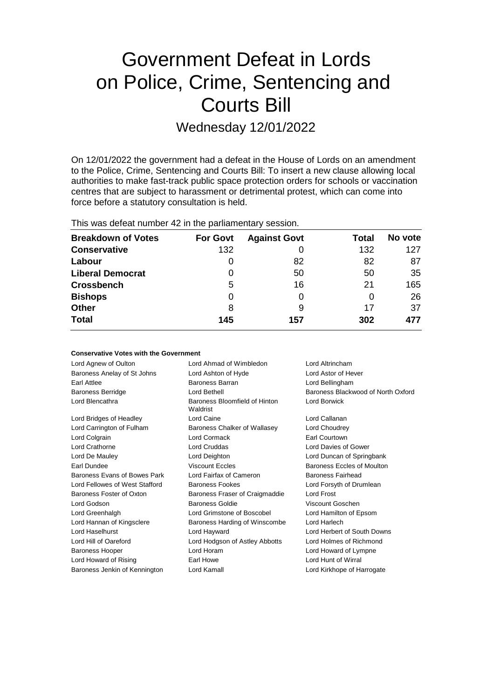# Government Defeat in Lords on Police, Crime, Sentencing and Courts Bill

Wednesday 12/01/2022

On 12/01/2022 the government had a defeat in the House of Lords on an amendment to the Police, Crime, Sentencing and Courts Bill: To insert a new clause allowing local authorities to make fast-track public space protection orders for schools or vaccination centres that are subject to harassment or detrimental protest, which can come into force before a statutory consultation is held.

|  |  |  |  |  | This was defeat number 42 in the parliamentary session. |  |
|--|--|--|--|--|---------------------------------------------------------|--|
|--|--|--|--|--|---------------------------------------------------------|--|

| <b>Breakdown of Votes</b> | <b>For Govt</b> | <b>Against Govt</b> | Total | No vote |
|---------------------------|-----------------|---------------------|-------|---------|
| <b>Conservative</b>       | 132             |                     | 132   | 127     |
| Labour                    | 0               | 82                  | 82    | 87      |
| <b>Liberal Democrat</b>   | 0               | 50                  | 50    | 35      |
| <b>Crossbench</b>         | 5               | 16                  | 21    | 165     |
| <b>Bishops</b>            | 0               |                     | 0     | 26      |
| <b>Other</b>              | 8               | 9                   | 17    | 37      |
| <b>Total</b>              | 145             | 157                 | 302   | 477     |

| <b>Conservative Votes with the Government</b> |                         |                 |  |  |  |
|-----------------------------------------------|-------------------------|-----------------|--|--|--|
| Lord Aanew of Oulton                          | Lord Ahmad of Wimbledon | Lord Altrincham |  |  |  |

Baroness Anelay of St Johns Lord Ashton of Hyde Lord Astor of Hever Earl Attlee Baroness Barran Lord Bellingham Baroness Berridge **Lord Bethell** Baroness Blackwood of North Oxford **Baroness** Blackwood of North Oxford Lord Blencathra **Baroness** Bloomfield of Hinton Waldrist Lord Borwick Lord Bridges of Headley Lord Caine Lord Callanan Lord Carrington of Fulham Baroness Chalker of Wallasey Lord Choudrey Lord Colgrain Lord Cormack Earl Courtown Lord Crathorne Lord Cruddas Lord Davies of Gower Lord De Mauley Lord Deighton Lord Duncan of Springbank Earl Dundee **Example 20** Viscount Eccles **Baroness Eccles** Baroness Eccles of Moulton Baroness Evans of Bowes Park Lord Fairfax of Cameron Baroness Fairhead Lord Fellowes of West Stafford Baroness Fookes **Lord Forsyth of Drumlean** Baroness Foster of Oxton Baroness Fraser of Craigmaddie Lord Frost Lord Godson Baroness Goldie Viscount Goschen Lord Greenhalgh Lord Grimstone of Boscobel Lord Hamilton of Epsom Lord Hannan of Kingsclere **Baroness Harding of Winscombe** Lord Harlech Lord Haselhurst Lord Hayward Lord Herbert of South Downs Lord Hill of Oareford Lord Hodgson of Astley Abbotts Lord Holmes of Richmond Baroness Hooper Lord Horam Lord Howard of Lympne Lord Howard of Rising **Earl Howe** Earl Howe Lord Hunt of Wirral Baroness Jenkin of Kennington Lord Kamall **Lord Kamall** Lord Kirkhope of Harrogate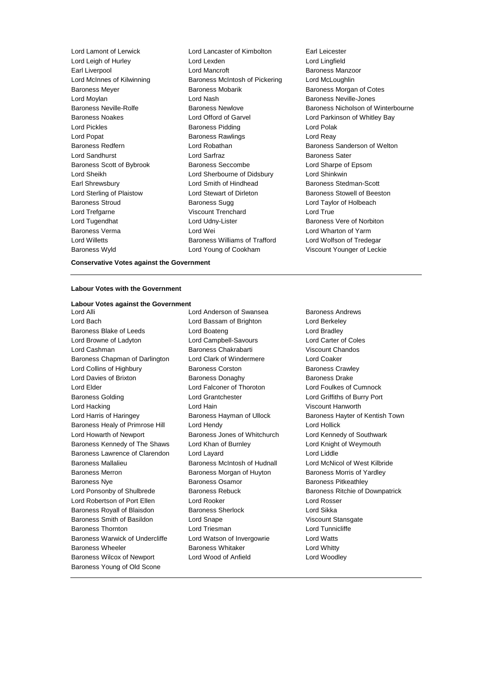Baroness Wyld Lord Young of Cookham Viscount Younger of Leckie

Lord Lamont of Lerwick Lord Lancaster of Kimbolton Earl Leicester Lord Leigh of Hurley Lord Lexden Lord Lingfield Earl Liverpool Lord Mancroft Baroness Manzoor Lord McInnes of Kilwinning Baroness McIntosh of Pickering Lord McLoughlin Baroness Meyer **Baroness Mobarik Baroness Morgan of Cotes** Lord Moylan **Lord Nash Baroness Neville-Jones** Lord Nash Baroness Neville-Jones Baroness Noakes Lord Offord of Garvel Lord Parkinson of Whitley Bay Lord Pickles **Baroness Pidding** Lord Polak Lord Popat **Baroness Rawlings** Lord Reay Baroness Redfern **Baroness Redfern** Lord Robathan **Baroness Sanderson of Welton** Lord Sandhurst **Lord Sarfraz Lord Sarfraz** Baroness Sater Baroness Scott of Bybrook Baroness Seccombe Lord Sharpe of Epsom Lord Sheikh Lord Sherbourne of Didsbury Lord Shinkwin Earl Shrewsbury **Lord Smith of Hindhead** Baroness Stedman-Scott Lord Sterling of Plaistow Lord Stewart of Dirleton Baroness Stowell of Beeston Baroness Stroud **Baroness Sugg Communist Communist Stroud** Baroness Sugg **Lord Taylor of Holbeach** Lord Trefgarne **Viscount Trenchard** Lord True Lord Tugendhat **Lord Udny-Lister** Baroness Vere of Norbiton Baroness Verma Lord Wei Lord Wharton of Yarm Lord Willetts **Baroness Williams of Trafford** Lord Wolfson of Tredegar

Baroness Neville-Rolfe **Baroness Newlove** Baroness Newlove **Baroness Nicholson of Winterbourne** 

**Conservative Votes against the Government**

## **Labour Votes with the Government**

# **Labour Votes against the Government**

Lord Bach Lord Bassam of Brighton Lord Berkeley Baroness Blake of Leeds **Lord Boateng** Lord Bradley Lord Browne of Ladyton Lord Campbell-Savours Lord Carter of Coles Lord Cashman Baroness Chakrabarti Viscount Chandos Baroness Chapman of Darlington Lord Clark of Windermere Lord Coaker Lord Collins of Highbury **Baroness Corston** Baroness Crawley Lord Davies of Brixton **Baroness Donaghy** Baroness Davies Baroness Drake Lord Elder Lord Falconer of Thoroton Lord Foulkes of Cumnock Baroness Golding Lord Grantchester Lord Griffiths of Burry Port Lord Hacking Lord Hain Viscount Hanworth Lord Harris of Haringey **Baroness Hayman of Ullock** Baroness Hayter of Kentish Town Baroness Healy of Primrose Hill Lord Hendy Lord Hollick Lord Howarth of Newport Baroness Jones of Whitchurch Lord Kennedy of Southwark Baroness Kennedy of The Shaws Lord Khan of Burnley Lord Knight of Weymouth Baroness Lawrence of Clarendon Lord Layard Lord Lord Lord Liddle Baroness Mallalieu Baroness McIntosh of Hudnall Lord McNicol of West Kilbride Baroness Merron Baroness Morgan of Huyton Baroness Morris of Yardley Baroness Nye **Baroness Osamor** Baroness Pitkeathley Lord Ponsonby of Shulbrede Baroness Rebuck Baroness Ritchie of Downpatrick Lord Robertson of Port Ellen Lord Rooker Lord Rosser Baroness Royall of Blaisdon Baroness Sherlock **Baroness Sherlock** Lord Sikka Baroness Smith of Basildon **Lord Snape Lord Snape** Viscount Stansgate Baroness Thornton **Example 2** Lord Triesman **Lord Triesman** Lord Tunnicliffe Baroness Warwick of Undercliffe Lord Watson of Invergowrie Lord Watts Baroness Wheeler **Baroness Whitaker** Lord Whitty Baroness Wilcox of Newport Lord Wood of Anfield Lord Woodley Baroness Young of Old Scone

Lord Anderson of Swansea Baroness Andrews